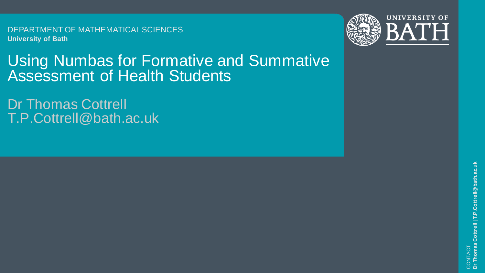DEPARTMENT OF MATHEMATICAL SCIENCES **University of Bath**





## Using Numbas for Formative and Summative Assessment of Health Students

Dr Thomas Cottrell T.P.Cottrell@bath.ac.uk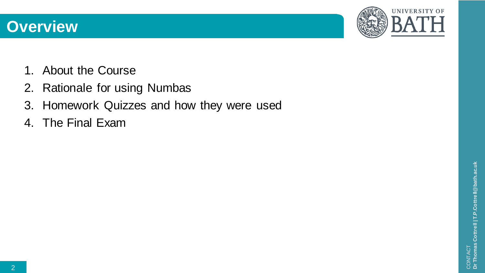



- 1. About the Course
- 2. Rationale for using Numbas
- 3. Homework Quizzes and how they were used
- 4. The Final Exam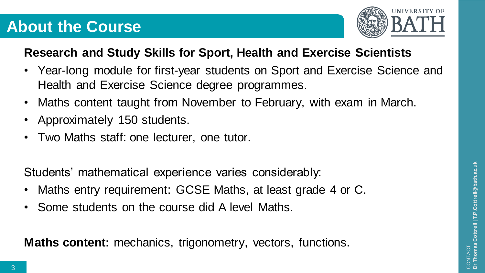## **About the Course**



#### **Research and Study Skills for Sport, Health and Exercise Scientists**

- Year-long module for first-year students on Sport and Exercise Science and Health and Exercise Science degree programmes.
- Maths content taught from November to February, with exam in March.
- Approximately 150 students.
- Two Maths staff: one lecturer, one tutor.

Students' mathematical experience varies considerably:

- Maths entry requirement: GCSE Maths, at least grade 4 or C.
- Some students on the course did A level Maths.

**Maths content:** mechanics, trigonometry, vectors, functions.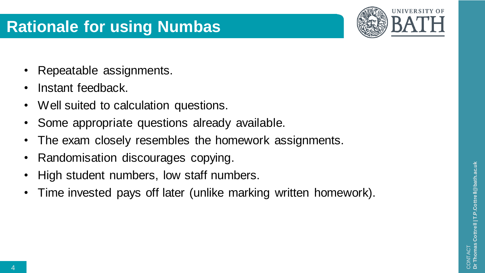## **Rationale for using Numbas**



- Repeatable assignments.
- Instant feedback.
- Well suited to calculation questions.
- Some appropriate questions already available.
- The exam closely resembles the homework assignments.
- Randomisation discourages copying.
- High student numbers, low staff numbers.
- Time invested pays off later (unlike marking written homework).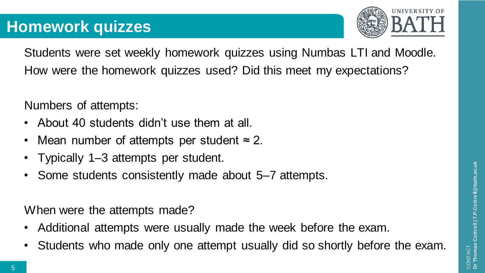

Students were set weekly homework quizzes using Numbas LTI and Moodle. How were the homework quizzes used? Did this meet my expectations?

Numbers of attempts:

- About 40 students didn't use them at all.
- Mean number of attempts per student  $\approx$  2.
- Typically 1–3 attempts per student.
- Some students consistently made about 5–7 attempts.

When were the attempts made?

- Additional attempts were usually made the week before the exam.
- Students who made only one attempt usually did so shortly before the exam.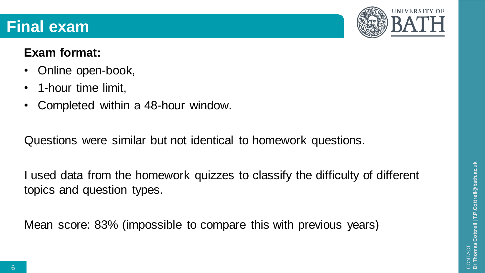## **Final exam**

#### **Exam format:**

- Online open-book,
- 1-hour time limit,
- Completed within a 48-hour window.

Questions were similar but not identical to homework questions.

I used data from the homework quizzes to classify the difficulty of different topics and question types.

Mean score: 83% (impossible to compare this with previous years)